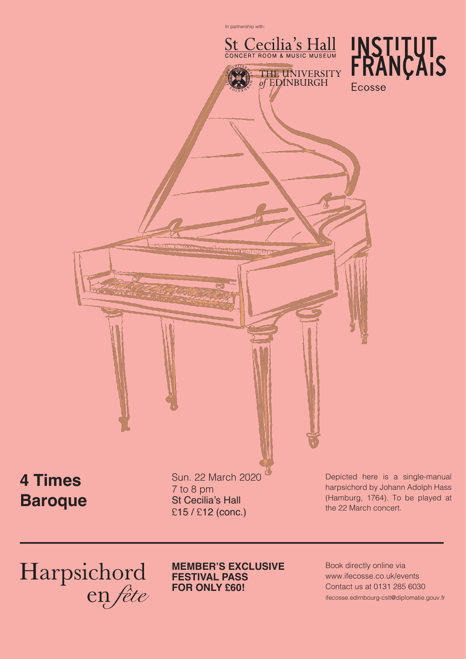## **Baroque**

### **MEMBER'S EXCLUSIVE FESTIVAL PASS FOR ONLY £60!**

St Cecilia's Hall £15 / £12 (conc.)

> Book directly online via www.ifecosse.co.uk/events Contact us at 0131 285 6030 ifecosse.edimbourg-cslt@diplomatie.gouv.fr



the 22 March concert.

# Harpsichord<br>en fête